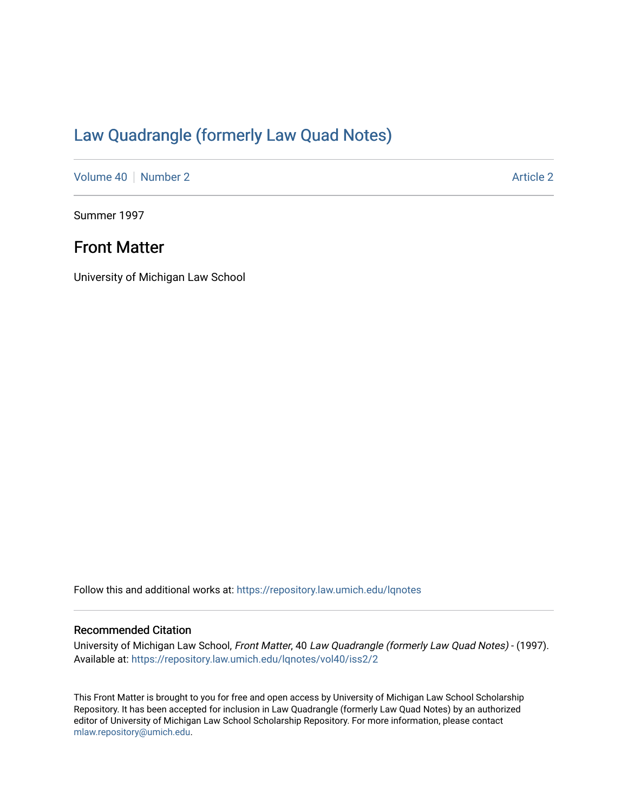# [Law Quadrangle \(formerly Law Quad Notes\)](https://repository.law.umich.edu/lqnotes)

[Volume 40](https://repository.law.umich.edu/lqnotes/vol40) [Number 2](https://repository.law.umich.edu/lqnotes/vol40/iss2) Article 2

Summer 1997

# Front Matter

University of Michigan Law School

Follow this and additional works at: [https://repository.law.umich.edu/lqnotes](https://repository.law.umich.edu/lqnotes?utm_source=repository.law.umich.edu%2Flqnotes%2Fvol40%2Fiss2%2F2&utm_medium=PDF&utm_campaign=PDFCoverPages) 

#### Recommended Citation

University of Michigan Law School, Front Matter, 40 Law Quadrangle (formerly Law Quad Notes) - (1997). Available at: [https://repository.law.umich.edu/lqnotes/vol40/iss2/2](https://repository.law.umich.edu/lqnotes/vol40/iss2/2?utm_source=repository.law.umich.edu%2Flqnotes%2Fvol40%2Fiss2%2F2&utm_medium=PDF&utm_campaign=PDFCoverPages) 

This Front Matter is brought to you for free and open access by University of Michigan Law School Scholarship Repository. It has been accepted for inclusion in Law Quadrangle (formerly Law Quad Notes) by an authorized editor of University of Michigan Law School Scholarship Repository. For more information, please contact [mlaw.repository@umich.edu.](mailto:mlaw.repository@umich.edu)